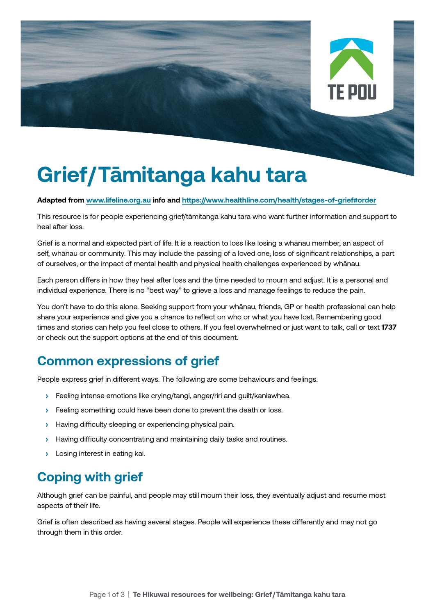

# **Grief/Tāmitanga kahu tara**

#### **Adapted from [www.lifeline.org.au](http://www.lifeline.org.au) info and<https://www.healthline.com/health/stages-of-grief#order>**

This resource is for people experiencing grief/tāmitanga kahu tara who want further information and support to heal after loss.

Grief is a normal and expected part of life. It is a reaction to loss like losing a whānau member, an aspect of self, whānau or community. This may include the passing of a loved one, loss of significant relationships, a part of ourselves, or the impact of mental health and physical health challenges experienced by whānau.

Each person differs in how they heal after loss and the time needed to mourn and adjust. It is a personal and individual experience. There is no "best way" to grieve a loss and manage feelings to reduce the pain.

You don't have to do this alone. Seeking support from your whānau, friends, GP or health professional can help share your experience and give you a chance to reflect on who or what you have lost. Remembering good times and stories can help you feel close to others. If you feel overwhelmed or just want to talk, call or text **1737** or check out the support options at the end of this document.

### **Common expressions of grief**

People express grief in different ways. The following are some behaviours and feelings.

- **›** Feeling intense emotions like crying/tangi, anger/riri and guilt/kaniawhea.
- **>** Feeling something could have been done to prevent the death or loss.
- **›** Having difficulty sleeping or experiencing physical pain.
- **›** Having difficulty concentrating and maintaining daily tasks and routines.
- **›** Losing interest in eating kai.

### **Coping with grief**

Although grief can be painful, and people may still mourn their loss, they eventually adjust and resume most aspects of their life.

Grief is often described as having several stages. People will experience these differently and may not go through them in this order.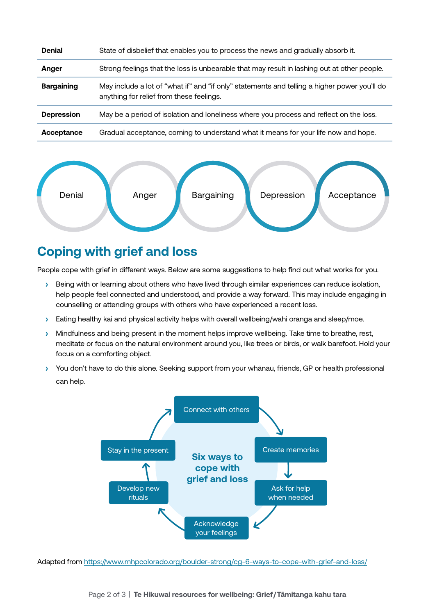| <b>Denial</b>     | State of disbelief that enables you to process the news and gradually absorb it.                                                         |
|-------------------|------------------------------------------------------------------------------------------------------------------------------------------|
| Anger             | Strong feelings that the loss is unbearable that may result in lashing out at other people.                                              |
| <b>Bargaining</b> | May include a lot of "what if" and "if only" statements and telling a higher power you'll do<br>anything for relief from these feelings. |
| <b>Depression</b> | May be a period of isolation and loneliness where you process and reflect on the loss.                                                   |
| Acceptance        | Gradual acceptance, coming to understand what it means for your life now and hope.                                                       |



### **Coping with grief and loss**

People cope with grief in different ways. Below are some suggestions to help find out what works for you.

- **›** Being with or learning about others who have lived through similar experiences can reduce isolation, help people feel connected and understood, and provide a way forward. This may include engaging in counselling or attending groups with others who have experienced a recent loss.
- **›** Eating healthy kai and physical activity helps with overall wellbeing/wahi oranga and sleep/moe.
- **›** Mindfulness and being present in the moment helps improve wellbeing. Take time to breathe, rest, meditate or focus on the natural environment around you, like trees or birds, or walk barefoot. Hold your focus on a comforting object.
- **›** You don't have to do this alone. Seeking support from your whānau, friends, GP or health professional can help.



Adapted from <https://www.mhpcolorado.org/boulder-strong/cg-6-ways-to-cope-with-grief-and-loss/>